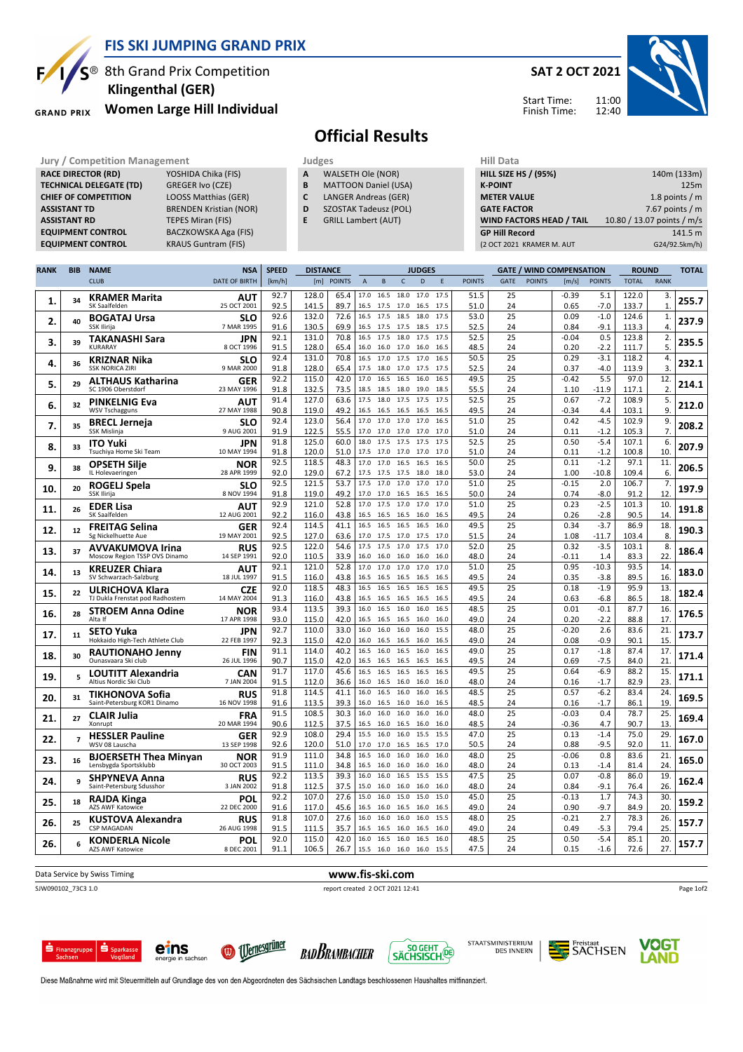

BACZKOWSKA Aga (FIS)

 $S^{\circledR}$  8th Grand Prix Competition

Women Large Hill Individual **GRAND PRIX** 

**TECHNICAL DELEGATE (TD)** GREGER Ivo (CZE)<br> **CHIEF OF COMPETITION** LOOSS Matthias (GER)

EQUIPMENT CONTROL KRAUS Guntram (FIS)

ASSISTANT TD BRENDEN Kristian (NOR) **ASSISTANT RD** TEPES Miran (FIS)<br> **EQUIPMENT CONTROL** BACZKOWSKA Aga

RACE DIRECTOR (RD)

CHIEF OF COMPETITION

# Klingenthal (GER)

## Official Results

- Jury / Competition Management<br> **RACE DIRECTOR (RD)** YOSHIDA Chika (FIS) **A** WALSETH Ole (NOR) HILL SIZE A WALSETH Ole (NOR)
	- **B** MATTOON Daniel (USA)<br>**C** LANGER Andreas (GER)
	- LANGER Andreas (GER)
	- D SZOSTAK Tadeusz (POL)
	- E GRILL Lambert (AUT)

| нш рата                         |                            |
|---------------------------------|----------------------------|
| <b>HILL SIZE HS / (95%)</b>     | 140m (133m)                |
| <b>K-POINT</b>                  | 125m                       |
| <b>METER VALUE</b>              | 1.8 points $/m$            |
| <b>GATE FACTOR</b>              | 7.67 points $/m$           |
| <b>WIND FACTORS HEAD / TAIL</b> | 10.80 / 13.07 points / m/s |
| <b>GP Hill Record</b>           | 141.5 m                    |
| (2 OCT 2021 KRAMER M. AUT       | G24/92.5km/h)              |
|                                 |                            |

| <b>RANK</b> | <b>BIB</b>               | <b>NAME</b>                                                 | <b>NSA</b>                | <b>SPEED</b> | <b>DISTANCE</b> |               |                |                        |                   | <b>JUDGES</b> |              |               |             |               | <b>GATE / WIND COMPENSATION</b> |                   | <b>ROUND</b>   |                        | <b>TOTAL</b> |
|-------------|--------------------------|-------------------------------------------------------------|---------------------------|--------------|-----------------|---------------|----------------|------------------------|-------------------|---------------|--------------|---------------|-------------|---------------|---------------------------------|-------------------|----------------|------------------------|--------------|
|             |                          | <b>CLUB</b>                                                 | <b>DATE OF BIRTH</b>      | [km/h]       | [m]             | <b>POINTS</b> | $\overline{A}$ | $\,$ B                 | $\mathsf{C}$      | D             | E            | <b>POINTS</b> | <b>GATE</b> | <b>POINTS</b> | [m/s]                           | <b>POINTS</b>     | <b>TOTAL</b>   | <b>RANK</b>            |              |
| 1.          | 34                       | <b>KRAMER Marita</b><br>SK Saalfelden                       | AUT<br>25 OCT 2001        | 92.7<br>92.5 | 128.0<br>141.5  | 65.4<br>89.7  | 17.0           | 16.5<br>16.5 17.5      | 18.0<br>17.0      | 17.0<br>16.5  | 17.5<br>17.5 | 51.5<br>51.0  | 25<br>24    |               | $-0.39$<br>0.65                 | 5.1<br>$-7.0$     | 122.0<br>133.7 | 3.<br>$\mathbf{1}$     | 255.7        |
| 2.          | 40                       | <b>BOGATAJ Ursa</b><br>SSK Ilirija                          | <b>SLO</b><br>7 MAR 1995  | 92.6<br>91.6 | 132.0<br>130.5  | 72.6<br>69.9  | 16.5<br>16.5   | 17.5<br>17.5           | 18.5<br>17.5      | 18.0<br>18.5  | 17.5<br>17.5 | 53.0<br>52.5  | 25<br>24    |               | 0.09<br>0.84                    | $-1.0$<br>$-9.1$  | 124.6<br>113.3 | 1.<br>$\overline{4}$   | 237.9        |
| 3.          | 39                       | <b>TAKANASHI Sara</b><br>KURARAY                            | JPN<br>8 OCT 1996         | 92.1<br>91.5 | 131.0<br>128.0  | 70.8<br>65.4  | 16.0           | 16.5 17.5<br>16.0      | 18.0<br>17.0      | 17.5<br>16.0  | 17.5<br>16.5 | 52.5<br>48.5  | 25<br>24    |               | $-0.04$<br>0.20                 | 0.5<br>$-2.2$     | 123.8<br>111.7 | 2.<br>5.               | 235.5        |
| 4.          | 36                       | <b>KRIZNAR Nika</b><br><b>SSK NORICA ZIRI</b>               | <b>SLO</b><br>9 MAR 2000  | 92.4<br>91.8 | 131.0<br>128.0  | 70.8<br>65.4  | 16.5<br>17.5   | 17.0<br>18.0           | 17.5<br>17.0      | 17.0<br>17.5  | 16.5<br>17.5 | 50.5<br>52.5  | 25<br>24    |               | 0.29<br>0.37                    | $-3.1$<br>$-4.0$  | 118.2<br>113.9 | 4.<br>3.               | 232.1        |
| 5.          | 29                       | <b>ALTHAUS Katharina</b>                                    | GER                       | 92.2         | 115.0           | 42.0          | 17.0           | 16.5                   | 16.5              | 16.0          | 16.5         | 49.5          | 25          |               | $-0.42$                         | 5.5               | 97.0           | 12.                    | 214.1        |
|             |                          | SC 1906 Oberstdorf                                          | 23 MAY 1996               | 91.8<br>91.4 | 132.5<br>127.0  | 73.5<br>63.6  | 18.5<br>17.5   | 18.5<br>18.0           | 18.0<br>17.5      | 19.0<br>17.5  | 18.5<br>17.5 | 55.5<br>52.5  | 24<br>25    |               | 1.10<br>0.67                    | $-11.9$<br>$-7.2$ | 117.1<br>108.9 | 2.<br>5.               |              |
| 6.          | 32                       | <b>PINKELNIG Eva</b><br><b>WSV Tschagguns</b>               | AUT<br>27 MAY 1988        | 90.8         | 119.0           | 49.2          | 16.5           | 16.5                   | 16.5              | 16.5          | 16.5         | 49.5          | 24          |               | $-0.34$                         | 4.4               | 103.1          | 9.                     | 212.0        |
| 7.          | 35                       | <b>BRECL Jerneja</b><br>SSK Mislinja                        | <b>SLO</b><br>9 AUG 2001  | 92.4<br>91.9 | 123.0<br>122.5  | 56.4<br>55.5  | 17.0           | 17.0<br>17.0 17.0      | 17.0<br>17.0      | 17.0<br>17.0  | 16.5<br>17.0 | 51.0<br>51.0  | 25<br>24    |               | 0.42<br>0.11                    | $-4.5$<br>$-1.2$  | 102.9<br>105.3 | 9.<br>7.               | 208.2        |
| 8.          | 33                       | <b>ITO Yuki</b><br>Tsuchiya Home Ski Team                   | JPN<br>10 MAY 1994        | 91.8<br>91.8 | 125.0<br>120.0  | 60.0<br>51.0  | 18.0<br>17.5   | 17.5<br>17.0           | 17.5<br>17.0      | 17.5<br>17.0  | 17.5<br>17.0 | 52.5<br>51.0  | 25<br>24    |               | 0.50<br>0.11                    | $-5.4$<br>$-1.2$  | 107.1<br>100.8 | 6.<br>10               | 207.9        |
| 9.          | 38                       | <b>OPSETH Silje</b>                                         | <b>NOR</b><br>28 APR 1999 | 92.5<br>92.0 | 118.5<br>129.0  | 48.3          | 17.0<br>17.5   | 17.0                   | 16.5<br>17.5      | 16.5          | 16.5<br>18.0 | 50.0<br>53.0  | 25<br>24    |               | 0.11<br>1.00                    | $-1.2$<br>$-10.8$ | 97.1<br>109.4  | 11<br>6.               | 206.5        |
| 10.         | 20                       | IL Holevaeringen<br><b>ROGELJ Spela</b>                     | <b>SLO</b>                | 92.5         | 121.5           | 67.2<br>53.7  | 17.5           | 17.5<br>17.0           | 17.0              | 18.0<br>17.0  | 17.0         | 51.0          | 25          |               | $-0.15$                         | 2.0               | 106.7          | 7.                     | 197.9        |
|             |                          | SSK Ilirija                                                 | 8 NOV 1994                | 91.8<br>92.9 | 119.0<br>121.0  | 49.2<br>52.8  | 17.0<br>17.0   | 17.0<br>17.5           | 16.5<br>17.0      | 16.5<br>17.0  | 16.5<br>17.0 | 50.0<br>51.0  | 24<br>25    |               | 0.74<br>0.23                    | $-8.0$<br>$-2.5$  | 91.2<br>101.3  | 12<br>10.              |              |
| 11.         | 26                       | <b>EDER Lisa</b><br>SK Saalfelden                           | AUT<br>12 AUG 2001        | 92.2         | 116.0           | 43.8          | 16.5           | 16.5                   | 16.5              | 16.0          | 16.5         | 49.5          | 24          |               | 0.26                            | $-2.8$            | 90.5           | 14.                    | 191.8        |
| 12.         | 12                       | <b>FREITAG Selina</b><br>Sg Nickelhuette Aue                | <b>GER</b><br>19 MAY 2001 | 92.4<br>92.5 | 114.5<br>127.0  | 41.1<br>63.6  | 16.5<br>17.0   | 16.5<br>17.5           | 16.5<br>17.0 17.5 | 16.5          | 16.0<br>17.0 | 49.5<br>51.5  | 25<br>24    |               | 0.34<br>1.08                    | $-3.7$<br>$-11.7$ | 86.9<br>103.4  | 18.<br>8.              | 190.3        |
| 13.         | 37                       | <b>AVVAKUMOVA Irina</b><br>Moscow Region TSSP OVS Dinamo    | <b>RUS</b><br>14 SEP 1991 | 92.5<br>92.0 | 122.0<br>110.5  | 54.6<br>33.9  | 17.5<br>16.0   | 17.5<br>16.0           | 17.0<br>16.0      | 17.5<br>16.0  | 17.0<br>16.0 | 52.0<br>48.0  | 25<br>24    |               | 0.32<br>-0.11                   | $-3.5$<br>1.4     | 103.1<br>83.3  | 8.<br>22.              | 186.4        |
| 14.         | 13                       | <b>KREUZER Chiara</b><br>SV Schwarzach-Salzburg             | <b>AUT</b><br>18 JUL 1997 | 92.1<br>91.5 | 121.0<br>116.0  | 52.8<br>43.8  |                | 17.0 17.0<br>16.5 16.5 | 17.0<br>16.5      | 17.0<br>16.5  | 17.0<br>16.5 | 51.0<br>49.5  | 25<br>24    |               | 0.95<br>0.35                    | $-10.3$<br>$-3.8$ | 93.5<br>89.5   | 14.<br>16.             | 183.0        |
| 15.         | 22                       | ULRICHOVA Klara                                             | <b>CZE</b>                | 92.0         | 118.5           | 48.3          | 16.5           | 16.5                   | 16.5              | 16.5          | 16.5         | 49.5          | 25          |               | 0.18                            | $-1.9$            | 95.9           | 13.                    | 182.4        |
|             | 28                       | TJ Dukla Frenstat pod Radhostem<br><b>STROEM Anna Odine</b> | 14 MAY 2004<br>NOR        | 91.3<br>93.4 | 116.0<br>113.5  | 43.8<br>39.3  | 16.5<br>16.0   | 16.5<br>16.5           | 16.5<br>16.0      | 16.5<br>16.0  | 16.5<br>16.5 | 49.5<br>48.5  | 24<br>25    |               | 0.63<br>0.01                    | $-6.8$<br>$-0.1$  | 86.5<br>87.7   | 18.<br>16.             | 176.5        |
| 16.         |                          | Alta If                                                     | 17 APR 1998               | 93.0<br>92.7 | 115.0<br>110.0  | 42.0<br>33.0  | 16.5<br>16.0   | 16.5<br>16.0           | 16.5<br>16.0      | 16.0<br>16.0  | 16.0<br>15.5 | 49.0<br>48.0  | 24<br>25    |               | 0.20<br>$-0.20$                 | $-2.2$<br>2.6     | 88.8<br>83.6   | 17.<br>21.             |              |
| 17.         | 11                       | <b>SETO Yuka</b><br>Hokkaido High-Tech Athlete Club         | JPN<br>22 FEB 1997        | 92.3         | 115.0           | 42.0          | 16.0           | 16.5                   | 16.5              | 16.0          | 16.5         | 49.0          | 24          |               | 0.08                            | $-0.9$            | 90.1           | 15.                    | 173.7        |
| 18.         | 30                       | <b>RAUTIONAHO Jenny</b><br>Ounasvaara Ski club              | <b>FIN</b><br>26 JUL 1996 | 91.1<br>90.7 | 114.0<br>115.0  | 40.2<br>42.0  | 16.5           | 16.0<br>16.5 16.5      | 16.5<br>16.5      | 16.0<br>16.5  | 16.5<br>16.5 | 49.0<br>49.5  | 25<br>24    |               | 0.17<br>0.69                    | $-1.8$<br>$-7.5$  | 87.4<br>84.0   | 17.<br>21              | 171.4        |
| 19          | 5                        | <b>LOUTITT Alexandria</b><br>Altius Nordic Ski Club         | <b>CAN</b><br>7 JAN 2004  | 91.7<br>91.5 | 117.0<br>112.0  | 45.6<br>36.6  | 16.5<br>16.0   | 16.5<br>16.5           | 16.5<br>16.0      | 16.5<br>16.0  | 16.5<br>16.0 | 49.5<br>48.0  | 25<br>24    |               | 0.64<br>0.16                    | $-6.9$<br>$-1.7$  | 88.2<br>82.9   | 15.<br>23.             | 171.1        |
| 20.         | 31                       | TIKHONOVA Sofia                                             | <b>RUS</b>                | 91.8         | 114.5           | 41.1          | 16.0           | 16.5                   | 16.0              | 16.0          | 16.5         | 48.5          | 25          |               | 0.57                            | $-6.2$            | 83.4           | 24.                    | 169.5        |
| 21.         | 27                       | Saint-Petersburg KOR1 Dinamo<br><b>CLAIR Julia</b>          | 16 NOV 1998<br><b>FRA</b> | 91.6<br>91.5 | 113.5<br>108.5  | 39.3<br>30.3  | 16.0<br>16.0   | 16.5<br>16.0           | 16.0<br>16.0      | 16.0<br>16.0  | 16.5<br>16.0 | 48.5<br>48.0  | 24<br>25    |               | 0.16<br>$-0.03$                 | $-1.7$<br>0.4     | 86.1<br>78.7   | 19.<br>25.             | 169.4        |
|             |                          | Xonrupt<br><b>HESSLER Pauline</b>                           | 20 MAR 1994<br>GER        | 90.6<br>92.9 | 112.5<br>108.0  | 37.5<br>29.4  | 16.5<br>15.5   | 16.0<br>16.0           | 16.5<br>16.0      | 16.0<br>15.5  | 16.0<br>15.5 | 48.5<br>47.0  | 24<br>25    |               | $-0.36$<br>0.13                 | 4.7<br>$-1.4$     | 90.7<br>75.0   | 13<br>29.              |              |
| 22.         | $\overline{\phantom{a}}$ | WSV 08 Lauscha                                              | 13 SEP 1998               | 92.6         | 120.0           | 51.0          | 17.0           | 17.0                   | 16.5              | 16.5          | 17.0         | 50.5          | 24          |               | 0.88                            | $-9.5$            | 92.0           | 11.                    | 167.0        |
| 23.         | 16                       | <b>BJOERSETH Thea Minyan</b><br>Lensbygda Sportsklubb       | NOR<br>30 OCT 2003        | 91.9<br>91.5 | 111.0<br>111.0  | 34.8<br>34.8  | 16.5<br>16.5   | 16.0<br>16.0           | 16.0<br>16.0      | 16.0<br>16.0  | 16.0<br>16.0 | 48.0<br>48.0  | 25<br>24    |               | $-0.06$<br>0.13                 | 0.8<br>$-1.4$     | 83.6<br>81.4   | $\overline{21}$<br>24. | 165.0        |
| 24.         | 9                        | <b>SHPYNEVA Anna</b><br>Saint-Petersburg Sdusshor           | <b>RUS</b><br>3 JAN 2002  | 92.2<br>91.8 | 113.5<br>112.5  | 39.3<br>37.5  | 16.0<br>15.0   | 16.0<br>16.0           | 16.5<br>16.0      | 15.5<br>16.0  | 15.5<br>16.0 | 47.5<br>48.0  | 25<br>24    |               | 0.07<br>0.84                    | $-0.8$<br>$-9.1$  | 86.0<br>76.4   | 19.<br>26.             | 162.4        |
| 25.         | 18                       | RAJDA Kinga                                                 | <b>POL</b>                | 92.2         | 107.0           | 27.6          | 15.0           | 16.0                   | 15.0              | 15.0          | 15.0         | 45.0          | 25          |               | $-0.13$                         | 1.7               | 74.3           | 30.                    | 159.2        |
| 26.         | 25                       | <b>AZS AWF Katowice</b><br><b>KUSTOVA Alexandra</b>         | 22 DEC 2000<br><b>RUS</b> | 91.6<br>91.8 | 117.0<br>107.0  | 45.6<br>27.6  | 16.5<br>16.0   | 16.0<br>16.0           | 16.5<br>16.0      | 16.0<br>16.0  | 16.5<br>15.5 | 49.0<br>48.0  | 24<br>25    |               | 0.90<br>$-0.21$                 | $-9.7$<br>2.7     | 84.9<br>78.3   | 20.<br>26.             | 157.7        |
|             |                          | <b>CSP MAGADAN</b><br><b>KONDERLA Nicole</b>                | 26 AUG 1998<br><b>POL</b> | 91.5<br>92.0 | 111.5<br>115.0  | 35.7<br>42.0  | 16.5<br>16.0   | 16.5<br>16.5           | 16.0<br>16.0      | 16.5<br>16.5  | 16.0<br>16.0 | 49.0<br>48.5  | 24<br>25    |               | 0.49<br>0.50                    | $-5.3$<br>$-5.4$  | 79.4<br>85.1   | 25.<br>20.             |              |
| 26.         |                          | <b>AZS AWF Katowice</b>                                     | 8 DEC 2001                | 91.1         | 106.5           | 26.7          |                | 15.5 16.0              | 16.0              | 16.0          | 15.5         | 47.5          | 24          |               | 0.15                            | $-1.6$            | 72.6           | 27.                    | 157.7        |

Data Service by Swiss Timing **WWW.fis-ski.com** 

SJW090102\_73C3 1.0 report created 2 OCT 2021 12:41

Page 1of2





eins











11:00 12:40 Start Time: Finish Time: